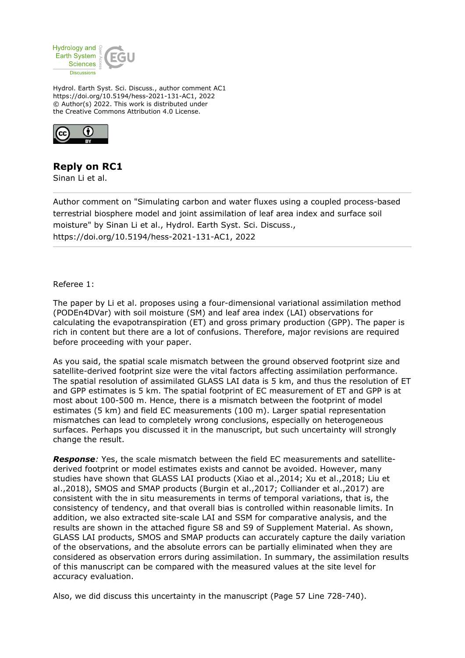

Hydrol. Earth Syst. Sci. Discuss., author comment AC1 https://doi.org/10.5194/hess-2021-131-AC1, 2022 © Author(s) 2022. This work is distributed under the Creative Commons Attribution 4.0 License.



## **Reply on RC1**

Sinan Li et al.

Author comment on "Simulating carbon and water fluxes using a coupled process-based terrestrial biosphere model and joint assimilation of leaf area index and surface soil moisture" by Sinan Li et al., Hydrol. Earth Syst. Sci. Discuss., https://doi.org/10.5194/hess-2021-131-AC1, 2022

Referee 1:

The paper by Li et al. proposes using a four-dimensional variational assimilation method (PODEn4DVar) with soil moisture (SM) and leaf area index (LAI) observations for calculating the evapotranspiration (ET) and gross primary production (GPP). The paper is rich in content but there are a lot of confusions. Therefore, major revisions are required before proceeding with your paper.

As you said, the spatial scale mismatch between the ground observed footprint size and satellite-derived footprint size were the vital factors affecting assimilation performance. The spatial resolution of assimilated GLASS LAI data is 5 km, and thus the resolution of ET and GPP estimates is 5 km. The spatial footprint of EC measurement of ET and GPP is at most about 100-500 m. Hence, there is a mismatch between the footprint of model estimates (5 km) and field EC measurements (100 m). Larger spatial representation mismatches can lead to completely wrong conclusions, especially on heterogeneous surfaces. Perhaps you discussed it in the manuscript, but such uncertainty will strongly change the result.

*Response:* Yes, the scale mismatch between the field EC measurements and satellitederived footprint or model estimates exists and cannot be avoided. However, many studies have shown that GLASS LAI products (Xiao et al.,2014; Xu et al.,2018; Liu et al.,2018), SMOS and SMAP products (Burgin et al.,2017; Colliander et al.,2017) are consistent with the in situ measurements in terms of temporal variations, that is, the consistency of tendency, and that overall bias is controlled within reasonable limits. In addition, we also extracted site-scale LAI and SSM for comparative analysis, and the results are shown in the attached figure S8 and S9 of Supplement Material. As shown, GLASS LAI products, SMOS and SMAP products can accurately capture the daily variation of the observations, and the absolute errors can be partially eliminated when they are considered as observation errors during assimilation. In summary, the assimilation results of this manuscript can be compared with the measured values at the site level for accuracy evaluation.

Also, we did discuss this uncertainty in the manuscript (Page 57 Line 728-740).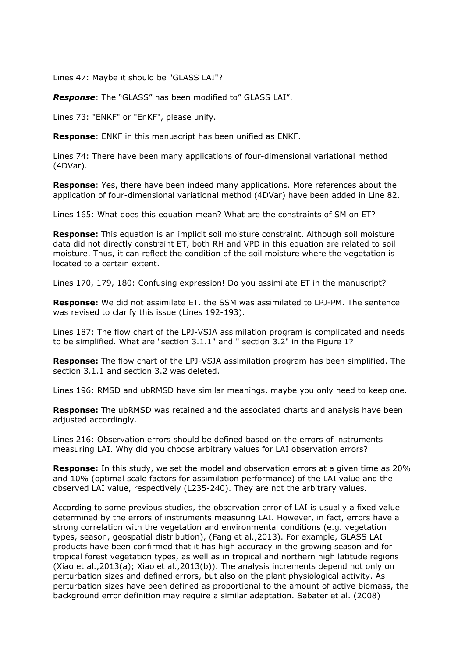Lines 47: Maybe it should be "GLASS LAI"?

*Response*: The "GLASS" has been modified to" GLASS LAI".

Lines 73: "ENKF" or "EnKF", please unify.

**Response**: ENKF in this manuscript has been unified as ENKF.

Lines 74: There have been many applications of four-dimensional variational method (4DVar).

**Response**: Yes, there have been indeed many applications. More references about the application of four-dimensional variational method (4DVar) have been added in Line 82.

Lines 165: What does this equation mean? What are the constraints of SM on ET?

**Response:** This equation is an implicit soil moisture constraint. Although soil moisture data did not directly constraint ET, both RH and VPD in this equation are related to soil moisture. Thus, it can reflect the condition of the soil moisture where the vegetation is located to a certain extent.

Lines 170, 179, 180: Confusing expression! Do you assimilate ET in the manuscript?

**Response:** We did not assimilate ET. the SSM was assimilated to LPJ-PM. The sentence was revised to clarify this issue (Lines 192-193).

Lines 187: The flow chart of the LPJ-VSJA assimilation program is complicated and needs to be simplified. What are "section 3.1.1" and " section 3.2" in the Figure 1?

**Response:** The flow chart of the LPJ-VSJA assimilation program has been simplified. The section 3.1.1 and section 3.2 was deleted.

Lines 196: RMSD and ubRMSD have similar meanings, maybe you only need to keep one.

**Response:** The ubRMSD was retained and the associated charts and analysis have been adjusted accordingly.

Lines 216: Observation errors should be defined based on the errors of instruments measuring LAI. Why did you choose arbitrary values for LAI observation errors?

**Response:** In this study, we set the model and observation errors at a given time as 20% and 10% (optimal scale factors for assimilation performance) of the LAI value and the observed LAI value, respectively (L235-240). They are not the arbitrary values.

According to some previous studies, the observation error of LAI is usually a fixed value determined by the errors of instruments measuring LAI. However, in fact, errors have a strong correlation with the vegetation and environmental conditions (e.g. vegetation types, season, geospatial distribution), (Fang et al.,2013). For example, GLASS LAI products have been confirmed that it has high accuracy in the growing season and for tropical forest vegetation types, as well as in tropical and northern high latitude regions (Xiao et al.,  $2013(a)$ ; Xiao et al.,  $2013(b)$ ). The analysis increments depend not only on perturbation sizes and defined errors, but also on the plant physiological activity. As perturbation sizes have been defined as proportional to the amount of active biomass, the background error definition may require a similar adaptation. Sabater et al. (2008)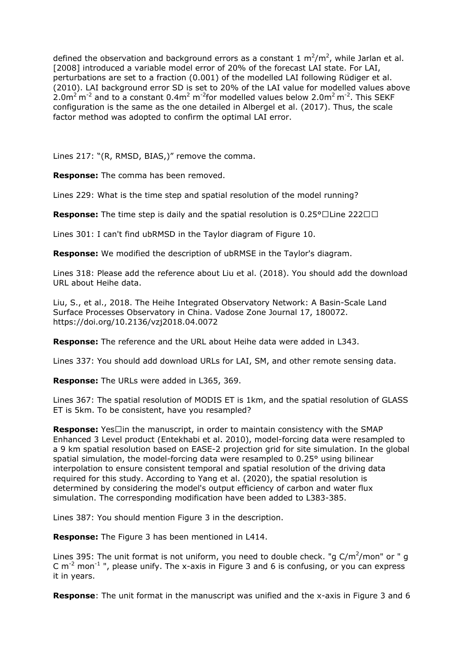defined the observation and background errors as a constant 1  $m^2/m^2$ , while Jarlan et al. [2008] introduced a variable model error of 20% of the forecast LAI state. For LAI, perturbations are set to a fraction (0.001) of the modelled LAI following Rüdiger et al. (2010). LAI background error SD is set to 20% of the LAI value for modelled values above 2.0m<sup>2</sup> m<sup>-2</sup> and to a constant 0.4m<sup>2</sup> m<sup>-2</sup>for modelled values below 2.0m<sup>2</sup> m<sup>-2</sup>. This SEKF configuration is the same as the one detailed in Albergel et al. (2017). Thus, the scale factor method was adopted to confirm the optimal LAI error.

Lines 217: "(R, RMSD, BIAS,)" remove the comma.

**Response:** The comma has been removed.

Lines 229: What is the time step and spatial resolution of the model running?

**Response:** The time step is daily and the spatial resolution is  $0.25^{\circ}$  Line 222  $\Box$ 

Lines 301: I can't find ubRMSD in the Taylor diagram of Figure 10.

**Response:** We modified the description of ubRMSE in the Taylor's diagram.

Lines 318: Please add the reference about Liu et al. (2018). You should add the download URL about Heihe data.

Liu, S., et al., 2018. The Heihe Integrated Observatory Network: A Basin-Scale Land Surface Processes Observatory in China. Vadose Zone Journal 17, 180072. https://doi.org/10.2136/vzj2018.04.0072

**Response:** The reference and the URL about Heihe data were added in L343.

Lines 337: You should add download URLs for LAI, SM, and other remote sensing data.

**Response:** The URLs were added in L365, 369.

Lines 367: The spatial resolution of MODIS ET is 1km, and the spatial resolution of GLASS ET is 5km. To be consistent, have you resampled?

**Response:** Yes $\Box$ in the manuscript, in order to maintain consistency with the SMAP Enhanced 3 Level product (Entekhabi et al. 2010), model-forcing data were resampled to a 9 km spatial resolution based on EASE-2 projection grid for site simulation. In the global spatial simulation, the model-forcing data were resampled to 0.25° using bilinear interpolation to ensure consistent temporal and spatial resolution of the driving data required for this study. According to Yang et al. (2020), the spatial resolution is determined by considering the model's output efficiency of carbon and water flux simulation. The corresponding modification have been added to L383-385.

Lines 387: You should mention Figure 3 in the description.

**Response:** The Figure 3 has been mentioned in L414.

Lines 395: The unit format is not uniform, you need to double check. "g  $C/m^2/m$ on" or " g C  $m^{-2}$  mon<sup>-1</sup> ", please unify. The x-axis in Figure 3 and 6 is confusing, or you can express it in years.

**Response**: The unit format in the manuscript was unified and the x-axis in Figure 3 and 6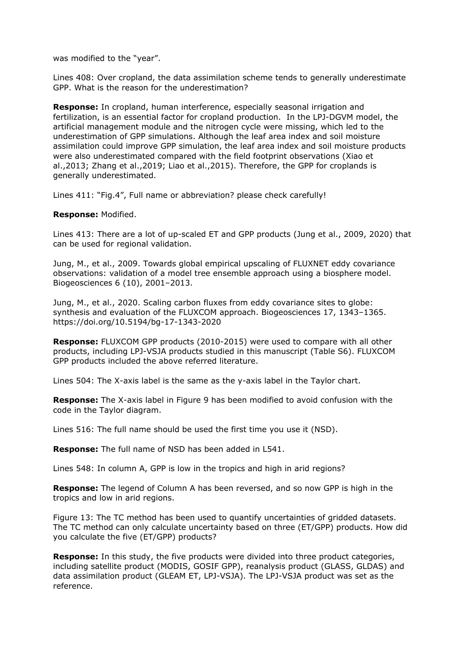was modified to the "year".

Lines 408: Over cropland, the data assimilation scheme tends to generally underestimate GPP. What is the reason for the underestimation?

**Response:** In cropland, human interference, especially seasonal irrigation and fertilization, is an essential factor for cropland production. In the LPJ-DGVM model, the artificial management module and the nitrogen cycle were missing, which led to the underestimation of GPP simulations. Although the leaf area index and soil moisture assimilation could improve GPP simulation, the leaf area index and soil moisture products were also underestimated compared with the field footprint observations (Xiao et al.,2013; Zhang et al.,2019; Liao et al.,2015). Therefore, the GPP for croplands is generally underestimated.

Lines 411: "Fig.4", Full name or abbreviation? please check carefully!

## **Response:** Modified.

Lines 413: There are a lot of up-scaled ET and GPP products (Jung et al., 2009, 2020) that can be used for regional validation.

Jung, M., et al., 2009. Towards global empirical upscaling of FLUXNET eddy covariance observations: validation of a model tree ensemble approach using a biosphere model. Biogeosciences 6 (10), 2001–2013.

Jung, M., et al., 2020. Scaling carbon fluxes from eddy covariance sites to globe: synthesis and evaluation of the FLUXCOM approach. Biogeosciences 17, 1343–1365. https://doi.org/10.5194/bg-17-1343-2020

**Response:** FLUXCOM GPP products (2010-2015) were used to compare with all other products, including LPJ-VSJA products studied in this manuscript (Table S6). FLUXCOM GPP products included the above referred literature.

Lines 504: The X-axis label is the same as the y-axis label in the Taylor chart.

**Response:** The X-axis label in Figure 9 has been modified to avoid confusion with the code in the Taylor diagram.

Lines 516: The full name should be used the first time you use it (NSD).

**Response:** The full name of NSD has been added in L541.

Lines 548: In column A, GPP is low in the tropics and high in arid regions?

**Response:** The legend of Column A has been reversed, and so now GPP is high in the tropics and low in arid regions.

Figure 13: The TC method has been used to quantify uncertainties of gridded datasets. The TC method can only calculate uncertainty based on three (ET/GPP) products. How did you calculate the five (ET/GPP) products?

**Response:** In this study, the five products were divided into three product categories, including satellite product (MODIS, GOSIF GPP), reanalysis product (GLASS, GLDAS) and data assimilation product (GLEAM ET, LPJ-VSJA). The LPJ-VSJA product was set as the reference.